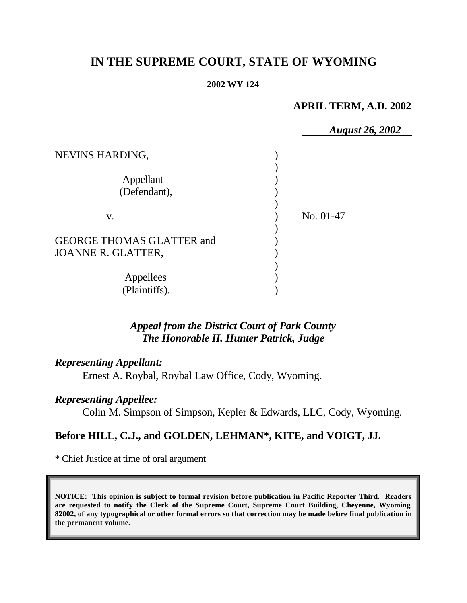# **IN THE SUPREME COURT, STATE OF WYOMING**

#### **2002 WY 124**

### **APRIL TERM, A.D. 2002**

|                                                               | <b>August 26, 2002</b> |
|---------------------------------------------------------------|------------------------|
| NEVINS HARDING,                                               |                        |
| Appellant<br>(Defendant),                                     |                        |
| V.                                                            | No. 01-47              |
| <b>GEORGE THOMAS GLATTER and</b><br><b>JOANNE R. GLATTER,</b> |                        |
| Appellees<br>(Plaintiffs).                                    |                        |

# *Appeal from the District Court of Park County The Honorable H. Hunter Patrick, Judge*

### *Representing Appellant:*

Ernest A. Roybal, Roybal Law Office, Cody, Wyoming.

# *Representing Appellee:*

Colin M. Simpson of Simpson, Kepler & Edwards, LLC, Cody, Wyoming.

### **Before HILL, C.J., and GOLDEN, LEHMAN\*, KITE, and VOIGT, JJ.**

\* Chief Justice at time of oral argument

**NOTICE: This opinion is subject to formal revision before publication in Pacific Reporter Third. Readers are requested to notify the Clerk of the Supreme Court, Supreme Court Building, Cheyenne, Wyoming 82002, of any typographical or other formal errors so that correction may be made before final publication in the permanent volume.**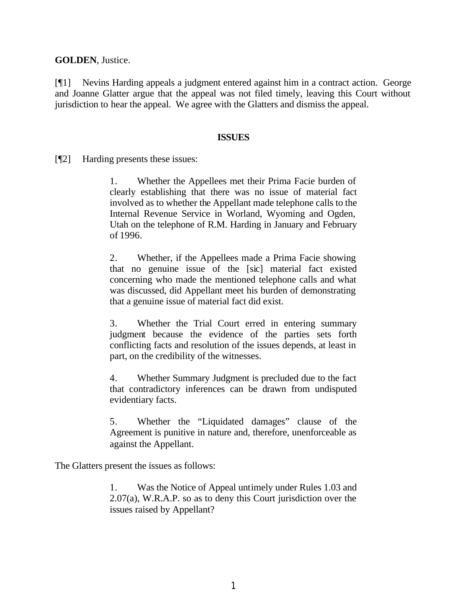**GOLDEN**, Justice.

[¶1] Nevins Harding appeals a judgment entered against him in a contract action. George and Joanne Glatter argue that the appeal was not filed timely, leaving this Court without jurisdiction to hear the appeal. We agree with the Glatters and dismiss the appeal.

#### **ISSUES**

[¶2] Harding presents these issues:

1. Whether the Appellees met their Prima Facie burden of clearly establishing that there was no issue of material fact involved as to whether the Appellant made telephone calls to the Internal Revenue Service in Worland, Wyoming and Ogden, Utah on the telephone of R.M. Harding in January and February of 1996.

2. Whether, if the Appellees made a Prima Facie showing that no genuine issue of the [sic] material fact existed concerning who made the mentioned telephone calls and what was discussed, did Appellant meet his burden of demonstrating that a genuine issue of material fact did exist.

3. Whether the Trial Court erred in entering summary judgment because the evidence of the parties sets forth conflicting facts and resolution of the issues depends, at least in part, on the credibility of the witnesses.

4. Whether Summary Judgment is precluded due to the fact that contradictory inferences can be drawn from undisputed evidentiary facts.

5. Whether the "Liquidated damages" clause of the Agreement is punitive in nature and, therefore, unenforceable as against the Appellant.

The Glatters present the issues as follows:

1. Was the Notice of Appeal untimely under Rules 1.03 and 2.07(a), W.R.A.P. so as to deny this Court jurisdiction over the issues raised by Appellant?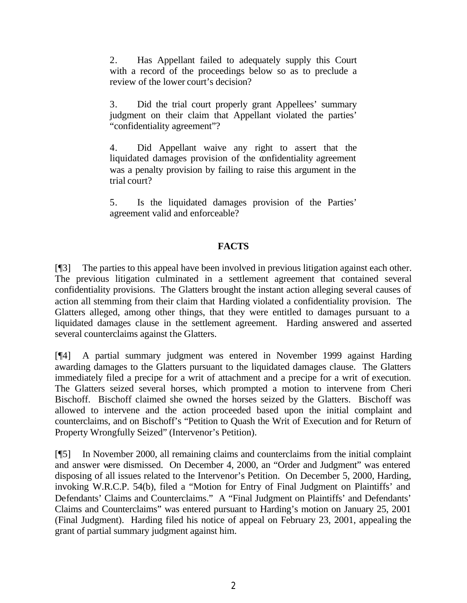2. Has Appellant failed to adequately supply this Court with a record of the proceedings below so as to preclude a review of the lower court's decision?

3. Did the trial court properly grant Appellees' summary judgment on their claim that Appellant violated the parties' "confidentiality agreement"?

4. Did Appellant waive any right to assert that the liquidated damages provision of the confidentiality agreement was a penalty provision by failing to raise this argument in the trial court?

5. Is the liquidated damages provision of the Parties' agreement valid and enforceable?

### **FACTS**

[¶3] The parties to this appeal have been involved in previous litigation against each other. The previous litigation culminated in a settlement agreement that contained several confidentiality provisions. The Glatters brought the instant action alleging several causes of action all stemming from their claim that Harding violated a confidentiality provision. The Glatters alleged, among other things, that they were entitled to damages pursuant to a liquidated damages clause in the settlement agreement. Harding answered and asserted several counterclaims against the Glatters.

[¶4] A partial summary judgment was entered in November 1999 against Harding awarding damages to the Glatters pursuant to the liquidated damages clause. The Glatters immediately filed a precipe for a writ of attachment and a precipe for a writ of execution. The Glatters seized several horses, which prompted a motion to intervene from Cheri Bischoff. Bischoff claimed she owned the horses seized by the Glatters. Bischoff was allowed to intervene and the action proceeded based upon the initial complaint and counterclaims, and on Bischoff's "Petition to Quash the Writ of Execution and for Return of Property Wrongfully Seized" (Intervenor's Petition).

[¶5] In November 2000, all remaining claims and counterclaims from the initial complaint and answer were dismissed. On December 4, 2000, an "Order and Judgment" was entered disposing of all issues related to the Intervenor's Petition. On December 5, 2000, Harding, invoking W.R.C.P. 54(b), filed a "Motion for Entry of Final Judgment on Plaintiffs' and Defendants' Claims and Counterclaims." A "Final Judgment on Plaintiffs' and Defendants' Claims and Counterclaims" was entered pursuant to Harding's motion on January 25, 2001 (Final Judgment). Harding filed his notice of appeal on February 23, 2001, appealing the grant of partial summary judgment against him.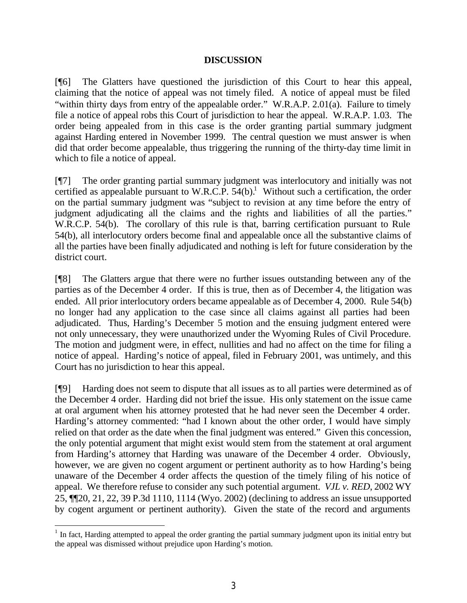#### **DISCUSSION**

[¶6] The Glatters have questioned the jurisdiction of this Court to hear this appeal, claiming that the notice of appeal was not timely filed. A notice of appeal must be filed "within thirty days from entry of the appealable order." W.R.A.P. 2.01(a). Failure to timely file a notice of appeal robs this Court of jurisdiction to hear the appeal. W.R.A.P. 1.03. The order being appealed from in this case is the order granting partial summary judgment against Harding entered in November 1999. The central question we must answer is when did that order become appealable, thus triggering the running of the thirty-day time limit in which to file a notice of appeal.

[¶7] The order granting partial summary judgment was interlocutory and initially was not certified as appealable pursuant to W.R.C.P.  $54(b)$ .<sup>1</sup> Without such a certification, the order on the partial summary judgment was "subject to revision at any time before the entry of judgment adjudicating all the claims and the rights and liabilities of all the parties." W.R.C.P. 54(b). The corollary of this rule is that, barring certification pursuant to Rule 54(b), all interlocutory orders become final and appealable once all the substantive claims of all the parties have been finally adjudicated and nothing is left for future consideration by the district court.

[¶8] The Glatters argue that there were no further issues outstanding between any of the parties as of the December 4 order. If this is true, then as of December 4, the litigation was ended. All prior interlocutory orders became appealable as of December 4, 2000. Rule 54(b) no longer had any application to the case since all claims against all parties had been adjudicated. Thus, Harding's December 5 motion and the ensuing judgment entered were not only unnecessary, they were unauthorized under the Wyoming Rules of Civil Procedure. The motion and judgment were, in effect, nullities and had no affect on the time for filing a notice of appeal. Harding's notice of appeal, filed in February 2001, was untimely, and this Court has no jurisdiction to hear this appeal.

[¶9] Harding does not seem to dispute that all issues as to all parties were determined as of the December 4 order. Harding did not brief the issue. His only statement on the issue came at oral argument when his attorney protested that he had never seen the December 4 order. Harding's attorney commented: "had I known about the other order, I would have simply relied on that order as the date when the final judgment was entered." Given this concession, the only potential argument that might exist would stem from the statement at oral argument from Harding's attorney that Harding was unaware of the December 4 order. Obviously, however, we are given no cogent argument or pertinent authority as to how Harding's being unaware of the December 4 order affects the question of the timely filing of his notice of appeal. We therefore refuse to consider any such potential argument. *VJL v. RED*, 2002 WY 25, ¶¶20, 21, 22, 39 P.3d 1110, 1114 (Wyo. 2002) (declining to address an issue unsupported by cogent argument or pertinent authority). Given the state of the record and arguments

 $1$  In fact, Harding attempted to appeal the order granting the partial summary judgment upon its initial entry but the appeal was dismissed without prejudice upon Harding's motion.